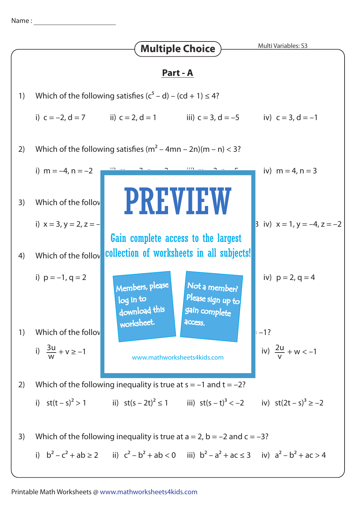